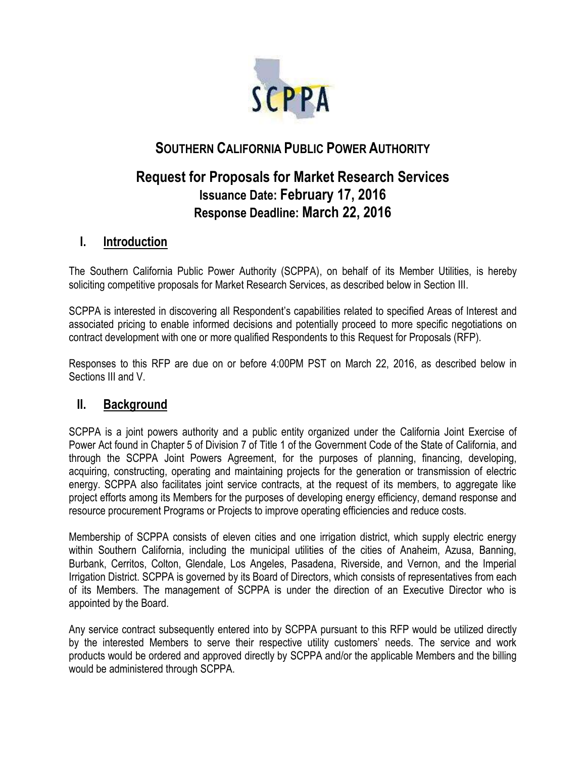

# **SOUTHERN CALIFORNIA PUBLIC POWER AUTHORITY**

# **Request for Proposals for Market Research Services Issuance Date: February 17, 2016 Response Deadline: March 22, 2016**

## **I. Introduction**

The Southern California Public Power Authority (SCPPA), on behalf of its Member Utilities, is hereby soliciting competitive proposals for Market Research Services, as described below in Section III.

SCPPA is interested in discovering all Respondent's capabilities related to specified Areas of Interest and associated pricing to enable informed decisions and potentially proceed to more specific negotiations on contract development with one or more qualified Respondents to this Request for Proposals (RFP).

Responses to this RFP are due on or before 4:00PM PST on March 22, 2016, as described below in Sections III and V.

### **II. Background**

SCPPA is a joint powers authority and a public entity organized under the California Joint Exercise of Power Act found in Chapter 5 of Division 7 of Title 1 of the Government Code of the State of California, and through the SCPPA Joint Powers Agreement, for the purposes of planning, financing, developing, acquiring, constructing, operating and maintaining projects for the generation or transmission of electric energy. SCPPA also facilitates joint service contracts, at the request of its members, to aggregate like project efforts among its Members for the purposes of developing energy efficiency, demand response and resource procurement Programs or Projects to improve operating efficiencies and reduce costs.

Membership of SCPPA consists of eleven cities and one irrigation district, which supply electric energy within Southern California, including the municipal utilities of the cities of Anaheim, Azusa, Banning, Burbank, Cerritos, Colton, Glendale, Los Angeles, Pasadena, Riverside, and Vernon, and the Imperial Irrigation District. SCPPA is governed by its Board of Directors, which consists of representatives from each of its Members. The management of SCPPA is under the direction of an Executive Director who is appointed by the Board.

Any service contract subsequently entered into by SCPPA pursuant to this RFP would be utilized directly by the interested Members to serve their respective utility customers' needs. The service and work products would be ordered and approved directly by SCPPA and/or the applicable Members and the billing would be administered through SCPPA.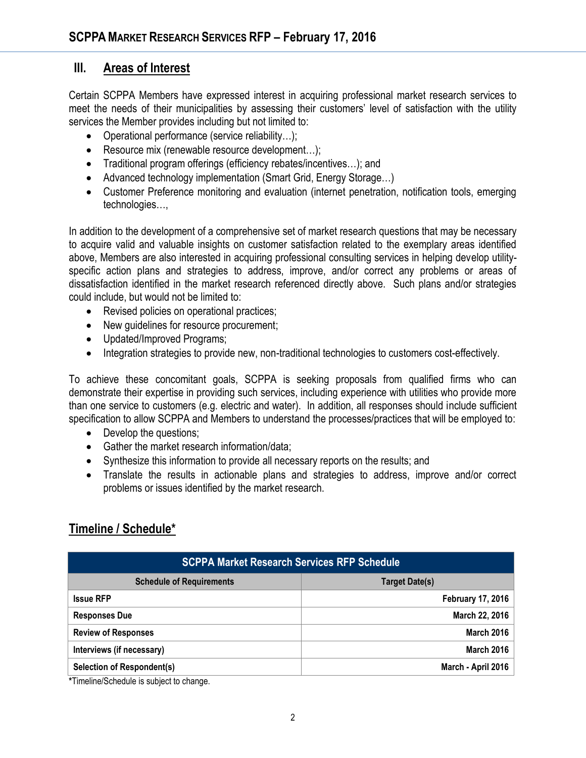### **III. Areas of Interest**

Certain SCPPA Members have expressed interest in acquiring professional market research services to meet the needs of their municipalities by assessing their customers' level of satisfaction with the utility services the Member provides including but not limited to:

- Operational performance (service reliability...);
- Resource mix (renewable resource development...);
- Traditional program offerings (efficiency rebates/incentives...); and
- Advanced technology implementation (Smart Grid, Energy Storage…)
- Customer Preference monitoring and evaluation (internet penetration, notification tools, emerging technologies…,

In addition to the development of a comprehensive set of market research questions that may be necessary to acquire valid and valuable insights on customer satisfaction related to the exemplary areas identified above, Members are also interested in acquiring professional consulting services in helping develop utilityspecific action plans and strategies to address, improve, and/or correct any problems or areas of dissatisfaction identified in the market research referenced directly above. Such plans and/or strategies could include, but would not be limited to:

- Revised policies on operational practices;
- New quidelines for resource procurement;
- Updated/Improved Programs;
- Integration strategies to provide new, non-traditional technologies to customers cost-effectively.

To achieve these concomitant goals, SCPPA is seeking proposals from qualified firms who can demonstrate their expertise in providing such services, including experience with utilities who provide more than one service to customers (e.g. electric and water). In addition, all responses should include sufficient specification to allow SCPPA and Members to understand the processes/practices that will be employed to:

- Develop the questions;
- Gather the market research information/data:
- Synthesize this information to provide all necessary reports on the results; and
- Translate the results in actionable plans and strategies to address, improve and/or correct problems or issues identified by the market research.

### **Timeline / Schedule\***

| <b>SCPPA Market Research Services RFP Schedule</b> |                          |
|----------------------------------------------------|--------------------------|
| <b>Schedule of Requirements</b>                    | <b>Target Date(s)</b>    |
| <b>Issue RFP</b>                                   | <b>February 17, 2016</b> |
| <b>Responses Due</b>                               | March 22, 2016           |
| <b>Review of Responses</b>                         | <b>March 2016</b>        |
| Interviews (if necessary)                          | <b>March 2016</b>        |
| <b>Selection of Respondent(s)</b>                  | March - April 2016       |

**\***Timeline/Schedule is subject to change.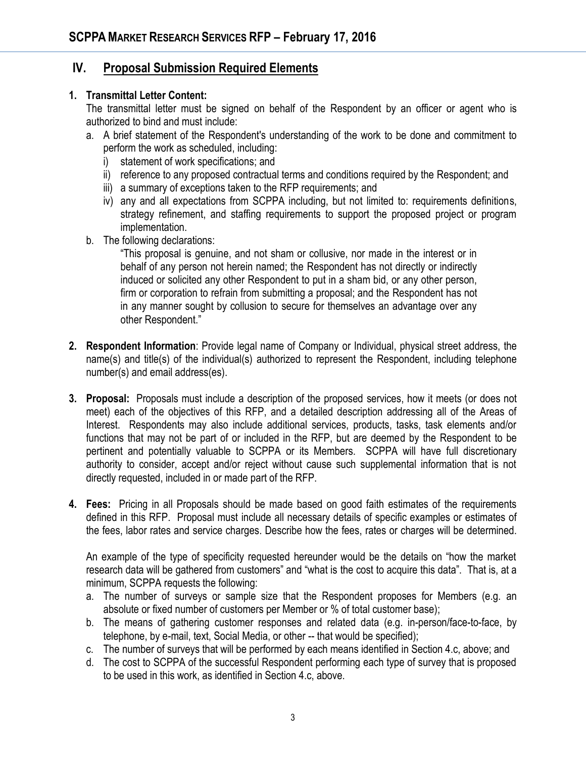#### **IV. Proposal Submission Required Elements**

#### **1. Transmittal Letter Content:**

The transmittal letter must be signed on behalf of the Respondent by an officer or agent who is authorized to bind and must include:

- a. A brief statement of the Respondent's understanding of the work to be done and commitment to perform the work as scheduled, including:
	- i) statement of work specifications; and
	- ii) reference to any proposed contractual terms and conditions required by the Respondent; and
	- iii) a summary of exceptions taken to the RFP requirements; and
	- iv) any and all expectations from SCPPA including, but not limited to: requirements definitions, strategy refinement, and staffing requirements to support the proposed project or program implementation.
- b. The following declarations:

"This proposal is genuine, and not sham or collusive, nor made in the interest or in behalf of any person not herein named; the Respondent has not directly or indirectly induced or solicited any other Respondent to put in a sham bid, or any other person, firm or corporation to refrain from submitting a proposal; and the Respondent has not in any manner sought by collusion to secure for themselves an advantage over any other Respondent."

- **2. Respondent Information**: Provide legal name of Company or Individual, physical street address, the name(s) and title(s) of the individual(s) authorized to represent the Respondent, including telephone number(s) and email address(es).
- **3. Proposal:** Proposals must include a description of the proposed services, how it meets (or does not meet) each of the objectives of this RFP, and a detailed description addressing all of the Areas of Interest. Respondents may also include additional services, products, tasks, task elements and/or functions that may not be part of or included in the RFP, but are deemed by the Respondent to be pertinent and potentially valuable to SCPPA or its Members. SCPPA will have full discretionary authority to consider, accept and/or reject without cause such supplemental information that is not directly requested, included in or made part of the RFP.
- **4. Fees:** Pricing in all Proposals should be made based on good faith estimates of the requirements defined in this RFP. Proposal must include all necessary details of specific examples or estimates of the fees, labor rates and service charges. Describe how the fees, rates or charges will be determined.

An example of the type of specificity requested hereunder would be the details on "how the market research data will be gathered from customers" and "what is the cost to acquire this data". That is, at a minimum, SCPPA requests the following:

- a. The number of surveys or sample size that the Respondent proposes for Members (e.g. an absolute or fixed number of customers per Member or % of total customer base);
- b. The means of gathering customer responses and related data (e.g. in-person/face-to-face, by telephone, by e-mail, text, Social Media, or other -- that would be specified);
- c. The number of surveys that will be performed by each means identified in Section 4.c, above; and
- d. The cost to SCPPA of the successful Respondent performing each type of survey that is proposed to be used in this work, as identified in Section 4.c, above.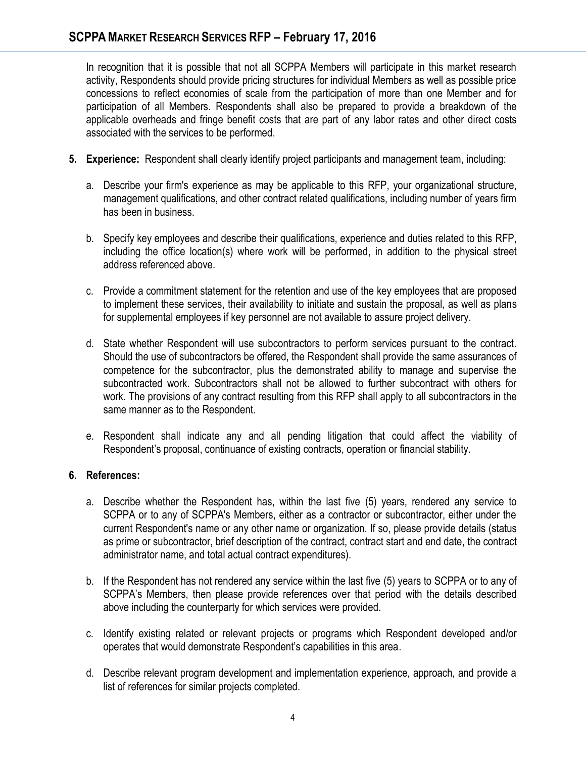In recognition that it is possible that not all SCPPA Members will participate in this market research activity, Respondents should provide pricing structures for individual Members as well as possible price concessions to reflect economies of scale from the participation of more than one Member and for participation of all Members. Respondents shall also be prepared to provide a breakdown of the applicable overheads and fringe benefit costs that are part of any labor rates and other direct costs associated with the services to be performed.

- **5. Experience:** Respondent shall clearly identify project participants and management team, including:
	- a. Describe your firm's experience as may be applicable to this RFP, your organizational structure, management qualifications, and other contract related qualifications, including number of years firm has been in business.
	- b. Specify key employees and describe their qualifications, experience and duties related to this RFP, including the office location(s) where work will be performed, in addition to the physical street address referenced above.
	- c. Provide a commitment statement for the retention and use of the key employees that are proposed to implement these services, their availability to initiate and sustain the proposal, as well as plans for supplemental employees if key personnel are not available to assure project delivery.
	- d. State whether Respondent will use subcontractors to perform services pursuant to the contract. Should the use of subcontractors be offered, the Respondent shall provide the same assurances of competence for the subcontractor, plus the demonstrated ability to manage and supervise the subcontracted work. Subcontractors shall not be allowed to further subcontract with others for work. The provisions of any contract resulting from this RFP shall apply to all subcontractors in the same manner as to the Respondent.
	- e. Respondent shall indicate any and all pending litigation that could affect the viability of Respondent's proposal, continuance of existing contracts, operation or financial stability.

#### **6. References:**

- a. Describe whether the Respondent has, within the last five (5) years, rendered any service to SCPPA or to any of SCPPA's Members, either as a contractor or subcontractor, either under the current Respondent's name or any other name or organization. If so, please provide details (status as prime or subcontractor, brief description of the contract, contract start and end date, the contract administrator name, and total actual contract expenditures).
- b. If the Respondent has not rendered any service within the last five (5) years to SCPPA or to any of SCPPA's Members, then please provide references over that period with the details described above including the counterparty for which services were provided.
- c. Identify existing related or relevant projects or programs which Respondent developed and/or operates that would demonstrate Respondent's capabilities in this area.
- d. Describe relevant program development and implementation experience, approach, and provide a list of references for similar projects completed.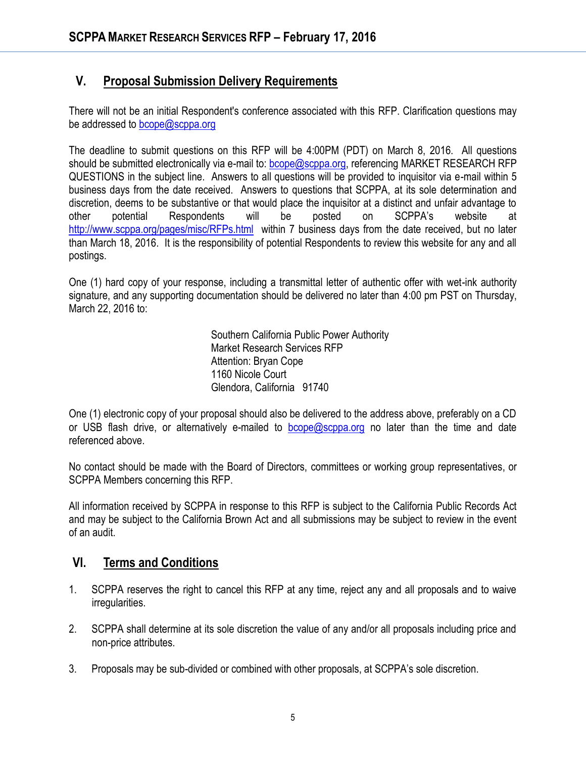## **V. Proposal Submission Delivery Requirements**

There will not be an initial Respondent's conference associated with this RFP. Clarification questions may be addressed to [bcope@scppa.org](mailto:bcope@scppa.org)

The deadline to submit questions on this RFP will be 4:00PM (PDT) on March 8, 2016. All questions should be submitted electronically via e-mail to: [bcope@scppa.org,](file://app-server/data/RFPs_RFQs_RFIs/Public%20Benefits%20Committee/Paperless%20Rebate%20Automation/RFP/bcope@scppa.org) referencing MARKET RESEARCH RFP QUESTIONS in the subject line. Answers to all questions will be provided to inquisitor via e-mail within 5 business days from the date received. Answers to questions that SCPPA, at its sole determination and discretion, deems to be substantive or that would place the inquisitor at a distinct and unfair advantage to other potential Respondents will be posted on SCPPA's website at <http://www.scppa.org/pages/misc/RFPs.html>within 7 business days from the date received, but no later than March 18, 2016. It is the responsibility of potential Respondents to review this website for any and all postings.

One (1) hard copy of your response, including a transmittal letter of authentic offer with wet-ink authority signature, and any supporting documentation should be delivered no later than 4:00 pm PST on Thursday, March 22, 2016 to:

> Southern California Public Power Authority Market Research Services RFP Attention: Bryan Cope 1160 Nicole Court Glendora, California 91740

One (1) electronic copy of your proposal should also be delivered to the address above, preferably on a CD or USB flash drive, or alternatively e-mailed to  $bcope@scppa.org$  no later than the time and date referenced above.

No contact should be made with the Board of Directors, committees or working group representatives, or SCPPA Members concerning this RFP.

All information received by SCPPA in response to this RFP is subject to the California Public Records Act and may be subject to the California Brown Act and all submissions may be subject to review in the event of an audit.

### **VI. Terms and Conditions**

- 1. SCPPA reserves the right to cancel this RFP at any time, reject any and all proposals and to waive irregularities.
- 2. SCPPA shall determine at its sole discretion the value of any and/or all proposals including price and non-price attributes.
- 3. Proposals may be sub-divided or combined with other proposals, at SCPPA's sole discretion.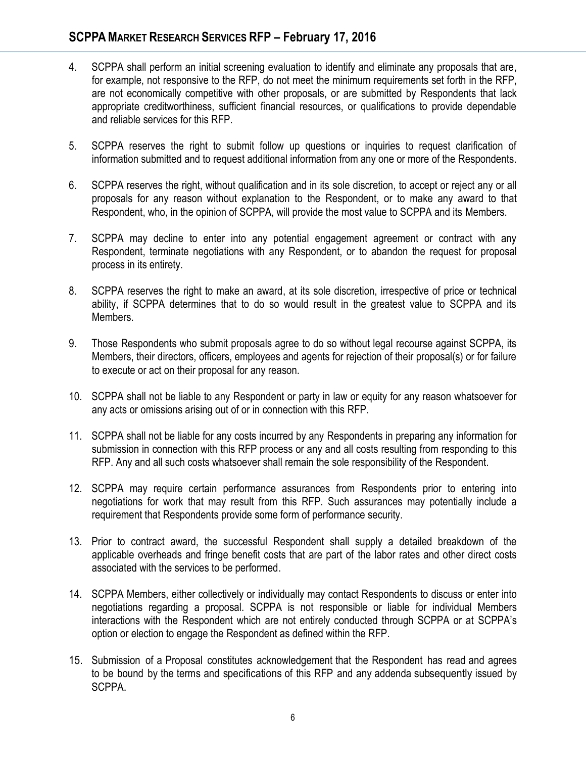- 4. SCPPA shall perform an initial screening evaluation to identify and eliminate any proposals that are, for example, not responsive to the RFP, do not meet the minimum requirements set forth in the RFP, are not economically competitive with other proposals, or are submitted by Respondents that lack appropriate creditworthiness, sufficient financial resources, or qualifications to provide dependable and reliable services for this RFP.
- 5. SCPPA reserves the right to submit follow up questions or inquiries to request clarification of information submitted and to request additional information from any one or more of the Respondents.
- 6. SCPPA reserves the right, without qualification and in its sole discretion, to accept or reject any or all proposals for any reason without explanation to the Respondent, or to make any award to that Respondent, who, in the opinion of SCPPA, will provide the most value to SCPPA and its Members.
- 7. SCPPA may decline to enter into any potential engagement agreement or contract with any Respondent, terminate negotiations with any Respondent, or to abandon the request for proposal process in its entirety.
- 8. SCPPA reserves the right to make an award, at its sole discretion, irrespective of price or technical ability, if SCPPA determines that to do so would result in the greatest value to SCPPA and its Members.
- 9. Those Respondents who submit proposals agree to do so without legal recourse against SCPPA, its Members, their directors, officers, employees and agents for rejection of their proposal(s) or for failure to execute or act on their proposal for any reason.
- 10. SCPPA shall not be liable to any Respondent or party in law or equity for any reason whatsoever for any acts or omissions arising out of or in connection with this RFP.
- 11. SCPPA shall not be liable for any costs incurred by any Respondents in preparing any information for submission in connection with this RFP process or any and all costs resulting from responding to this RFP. Any and all such costs whatsoever shall remain the sole responsibility of the Respondent.
- 12. SCPPA may require certain performance assurances from Respondents prior to entering into negotiations for work that may result from this RFP. Such assurances may potentially include a requirement that Respondents provide some form of performance security.
- 13. Prior to contract award, the successful Respondent shall supply a detailed breakdown of the applicable overheads and fringe benefit costs that are part of the labor rates and other direct costs associated with the services to be performed.
- 14. SCPPA Members, either collectively or individually may contact Respondents to discuss or enter into negotiations regarding a proposal. SCPPA is not responsible or liable for individual Members interactions with the Respondent which are not entirely conducted through SCPPA or at SCPPA's option or election to engage the Respondent as defined within the RFP.
- 15. Submission of a Proposal constitutes acknowledgement that the Respondent has read and agrees to be bound by the terms and specifications of this RFP and any addenda subsequently issued by SCPPA.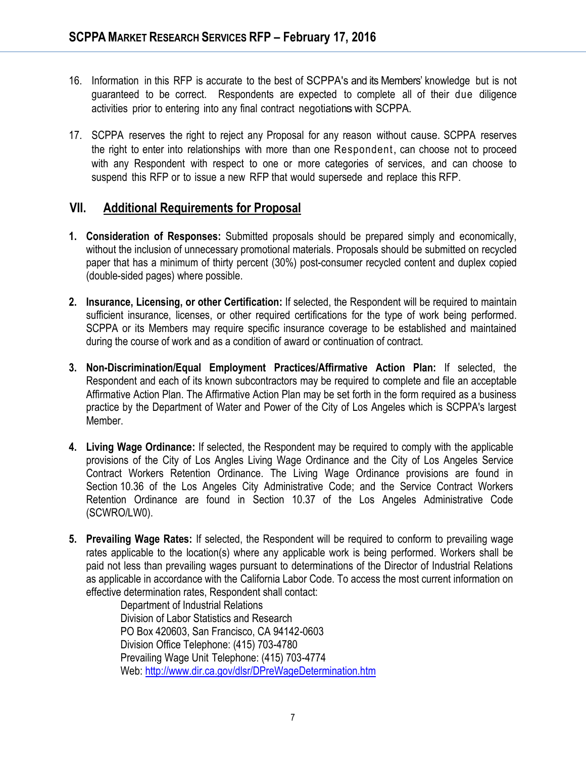- 16. Information in this RFP is accurate to the best of SCPPA's and its Members' knowledge but is not guaranteed to be correct. Respondents are expected to complete all of their due diligence activities prior to entering into any final contract negotiations with SCPPA.
- 17. SCPPA reserves the right to reject any Proposal for any reason without cause. SCPPA reserves the right to enter into relationships with more than one Respondent, can choose not to proceed with any Respondent with respect to one or more categories of services, and can choose to suspend this RFP or to issue a new RFP that would supersede and replace this RFP.

### **VII. Additional Requirements for Proposal**

- **1. Consideration of Responses:** Submitted proposals should be prepared simply and economically, without the inclusion of unnecessary promotional materials. Proposals should be submitted on recycled paper that has a minimum of thirty percent (30%) post-consumer recycled content and duplex copied (double-sided pages) where possible.
- **2. Insurance, Licensing, or other Certification:** If selected, the Respondent will be required to maintain sufficient insurance, licenses, or other required certifications for the type of work being performed. SCPPA or its Members may require specific insurance coverage to be established and maintained during the course of work and as a condition of award or continuation of contract.
- **3. Non-Discrimination/Equal Employment Practices/Affirmative Action Plan:** If selected, the Respondent and each of its known subcontractors may be required to complete and file an acceptable Affirmative Action Plan. The Affirmative Action Plan may be set forth in the form required as a business practice by the Department of Water and Power of the City of Los Angeles which is SCPPA's largest Member.
- **4. Living Wage Ordinance:** If selected, the Respondent may be required to comply with the applicable provisions of the City of Los Angles Living Wage Ordinance and the City of Los Angeles Service Contract Workers Retention Ordinance. The Living Wage Ordinance provisions are found in Section 10.36 of the Los Angeles City Administrative Code; and the Service Contract Workers Retention Ordinance are found in Section 10.37 of the Los Angeles Administrative Code (SCWRO/LW0).
- **5. Prevailing Wage Rates:** If selected, the Respondent will be required to conform to prevailing wage rates applicable to the location(s) where any applicable work is being performed. Workers shall be paid not less than prevailing wages pursuant to determinations of the Director of Industrial Relations as applicable in accordance with the California Labor Code. To access the most current information on effective determination rates, Respondent shall contact:

Department of Industrial Relations Division of Labor Statistics and Research PO Box 420603, San Francisco, CA 94142-0603 Division Office Telephone: (415) 703-4780 Prevailing Wage Unit Telephone: (415) 703-4774 Web[: http://www.dir.ca.gov/dlsr/DPreWageDetermination.htm](http://www.dir.ca.gov/dlsr/DPreWageDetermination.htm)